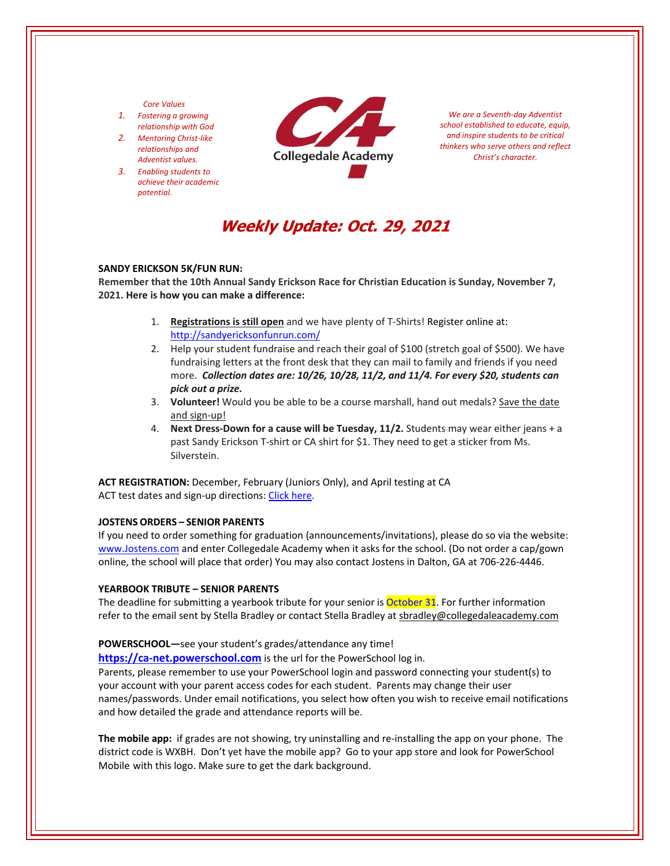### *Core Values*

- *1. Fostering a growing relationship with God*
- *2. Mentoring Christ‐like relationships and Adventist values.*
- *3. Enabling students to achieve their academic potential.*



*We are a Seventh‐day Adventist school established to educate, equip, and inspire students to be critical thinkers who serve others and reflect Christ's character.*

# **Weekly Update: Oct. 29, 2021**

#### **SANDY ERICKSON 5K/FUN RUN:**

**Remember that the 10th Annual Sandy Erickson Race for Christian Education is Sunday, November 7, 2021. Here is how you can make a difference:**

- 1. **Registrations is still open** and we have plenty of T‐Shirts! Register online at: <http://sandyericksonfunrun.com/>
- 2. Help your student fundraise and reach their goal of \$100 (stretch goal of \$500). We have fundraising letters at the front desk that they can mail to family and friends if you need more. *Collection dates are: 10/26, 10/28, 11/2, and 11/4. For every \$20, students can pick out a prize.*
- 3. Volunteer! Would you be able to be a course marshall, hand out medals? Save the date and sign‐up!
- 4. **Next Dress‐Down for a cause will be Tuesday, 11/2.** Students may wear either jeans + a past Sandy Erickson T‐shirt or CA shirt for \$1. They need to get a sticker from Ms. Silverstein.

**ACT REGISTRATION:** December, February (Juniors Only), and April testing at CA ACT test dates and sign-up directions: Click [here.](https://www.act.org/)

## **JOSTENS ORDERS – SENIOR PARENTS**

If you need to order something for graduation (announcements/invitations), please do so via the website: [www.Jostens.com](https://www.jostens.com/) and enter Collegedale Academy when it asks for the school. (Do not order a cap/gown online, the school will place that order) You may also contact Jostens in Dalton, GA at 706‐226‐4446.

#### **YEARBOOK TRIBUTE – SENIOR PARENTS**

The deadline for submitting a yearbook tribute for your senior is **October 31**. For further information refer to the email sent by Stella Bradley or contact Stella Bradley at sbradley@collegedaleacademy.com

#### **POWERSCHOOL—**see your student's grades/attendance any time!

**https://ca-[net.powerschool.com](https://ca-net.powerschool.com/public/)** is the url for the PowerSchool log in.

Parents, please remember to use your PowerSchool login and password connecting your student(s) to your account with your parent access codes for each student. Parents may change their user names/passwords. Under email notifications, you select how often you wish to receive email notifications and how detailed the grade and attendance reports will be.

**The mobile app:** if grades are not showing, try uninstalling and re‐installing the app on your phone. The district code is WXBH. Don't yet have the mobile app? Go to your app store and look for PowerSchool Mobile with this logo. Make sure to get the dark background.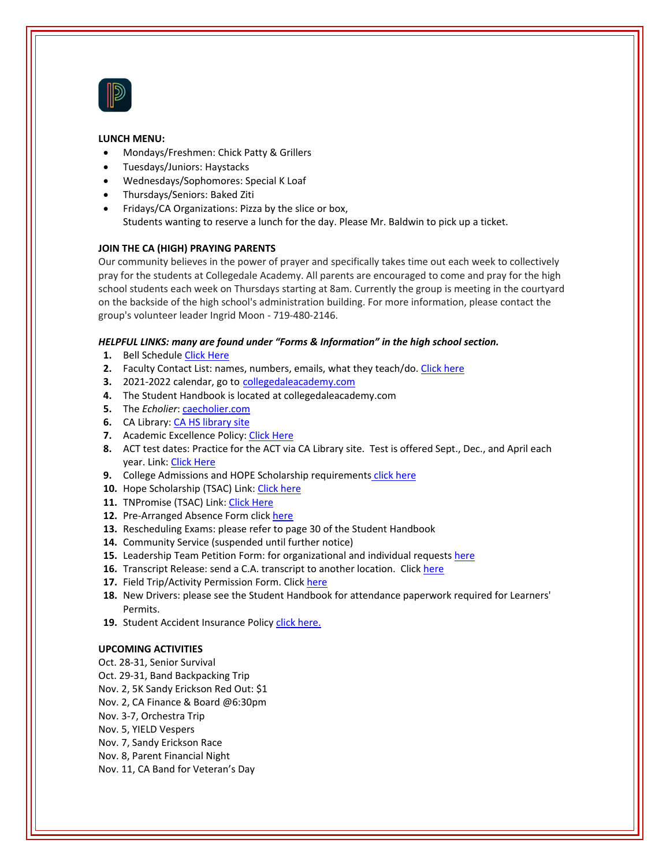

## **LUNCH MENU:**

- Mondays/Freshmen: Chick Patty & Grillers
- Tuesdays/Juniors: Haystacks
- Wednesdays/Sophomores: Special K Loaf
- Thursdays/Seniors: Baked Ziti
- Fridays/CA Organizations: Pizza by the slice or box, Students wanting to reserve a lunch for the day. Please Mr. Baldwin to pick up a ticket.

## **JOIN THE CA (HIGH) PRAYING PARENTS**

Our community believes in the power of prayer and specifically takes time out each week to collectively pray for the students at Collegedale Academy. All parents are encouraged to come and pray for the high school students each week on Thursdays starting at 8am. Currently the group is meeting in the courtyard on the backside of the high school's administration building. For more information, please contact the group's volunteer leader Ingrid Moon ‐ 719‐480‐2146.

## *HELPFUL LINKS: many are found under "Forms & Information" in the high school section.*

- **1.** Bell Schedule Click [Here](https://www.collegedaleacademy.com/wp-content/uploads/2018/08/Bell-Schedule.pdf)
- **2.** Faculty Contact List: names, numbers, emails, what they teach/do. [Click](https://www.collegedaleacademy.com/wp-content/uploads/2021/08/faculty-only-2021-2022.pdf) here
- **3.** 2021‐2022 calendar, go to [collegedaleacademy.com](https://www.collegedaleacademy.com/calendars/)
- **4.** The Student Handbook is located at collegedaleacademy.com
- **5.** The *Echolier*: *[caecholier.com](https://caecholier.com/)*
- **6.** CA Library: CA HS [library](https://southernuniongcc.mlasolutions.com/m5/catalog/(S(pj3yaitabtmai3bkij0jfzji))/default.aspx?installation=CDA) site
- **7.** Academic Excellence Policy: Click [Here](https://www.collegedaleacademy.com/wp-content/uploads/2018/08/Academic-Excellence-Policy.pdf)
- **8.** ACT test dates: Practice for the ACT via CA Library site. Test is offered Sept., Dec., and April each year. Link: Click [Here](https://www.act.org/)
- **9.** College Admissions and HOPE Scholarship requirements click [here](https://www.collegedaleacademy.com/wp-content/uploads/2019/08/TSAC-Scholarship-Info.pdf)
- 10. Hope Scholarship (TSAC) Link: Click [here](https://www.tn.gov/collegepays/money-for-college/tn-education-lottery-programs/tennessee-hope-scholarship.html)
- **11.** TNPromise (TSAC) Link: Click [Here](https://www.tn.gov/tnpromise.html)
- 12. Pre-Arranged Absence Form click [here](https://www.collegedaleacademy.com/wp-content/uploads/2016/11/Class-Absence-Request-Form-May-2017.pdf)
- **13.** Rescheduling Exams: please refer to page 30 of the Student Handbook
- **14.** Community Service (suspended until further notice)
- **15.** Leadership Team Petition Form: for organizational and individual requests [here](https://www.collegedaleacademy.com/wp-content/uploads/2019/08/Leadership-Petition-SSch.pdf)
- **16.** Transcript Release: send a C.A. transcript to another location. Click [here](https://www.collegedaleacademy.com/wp-content/uploads/2016/12/transcriptrelease2014.pdf)
- **17.** Field Trip/Activity Permission Form. Click [here](https://www.collegedaleacademy.com/wp-content/uploads/2018/08/Field-Trip-form.pdf)
- **18.** New Drivers: please see the Student Handbook for attendance paperwork required for Learners' Permits.
- 19. Student Accident Insurance Policy *click [here.](https://adventistrisk.org/en-us/insurance/nad/k-12-student-accident)*

## **UPCOMING ACTIVITIES**

- Oct. 28‐31, Senior Survival
- Oct. 29‐31, Band Backpacking Trip
- Nov. 2, 5K Sandy Erickson Red Out: \$1
- Nov. 2, CA Finance & Board @6:30pm
- Nov. 3‐7, Orchestra Trip
- Nov. 5, YIELD Vespers
- Nov. 7, Sandy Erickson Race
- Nov. 8, Parent Financial Night
- Nov. 11, CA Band for Veteran's Day